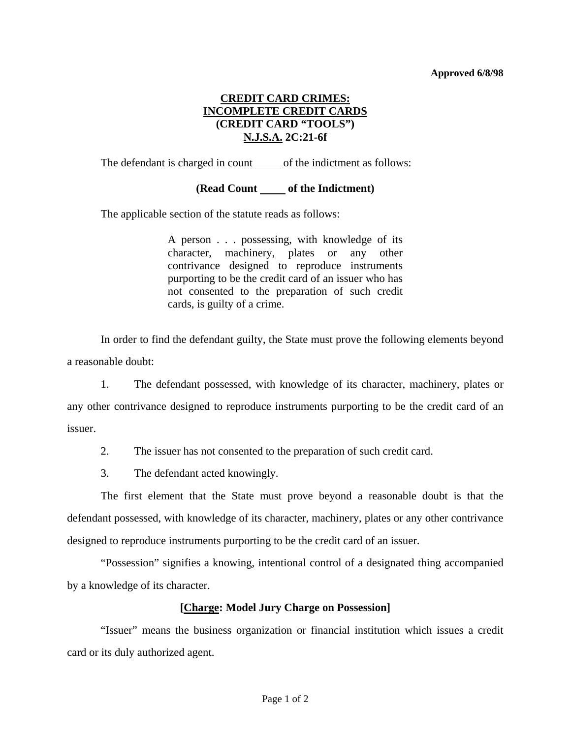## **Approved 6/8/98**

## **CREDIT CARD CRIMES: INCOMPLETE CREDIT CARDS (CREDIT CARD "TOOLS") N.J.S.A. 2C:21-6f**

The defendant is charged in count \_\_\_\_\_\_ of the indictment as follows:

## (**Read Count** of the Indictment)

The applicable section of the statute reads as follows:

A person . . . possessing, with knowledge of its character, machinery, plates or any other contrivance designed to reproduce instruments purporting to be the credit card of an issuer who has not consented to the preparation of such credit cards, is guilty of a crime.

 In order to find the defendant guilty, the State must prove the following elements beyond a reasonable doubt:

 1. The defendant possessed, with knowledge of its character, machinery, plates or any other contrivance designed to reproduce instruments purporting to be the credit card of an issuer.

2. The issuer has not consented to the preparation of such credit card.

3. The defendant acted knowingly.

 The first element that the State must prove beyond a reasonable doubt is that the defendant possessed, with knowledge of its character, machinery, plates or any other contrivance designed to reproduce instruments purporting to be the credit card of an issuer.

 "Possession" signifies a knowing, intentional control of a designated thing accompanied by a knowledge of its character.

## **[Charge: Model Jury Charge on Possession]**

 "Issuer" means the business organization or financial institution which issues a credit card or its duly authorized agent.